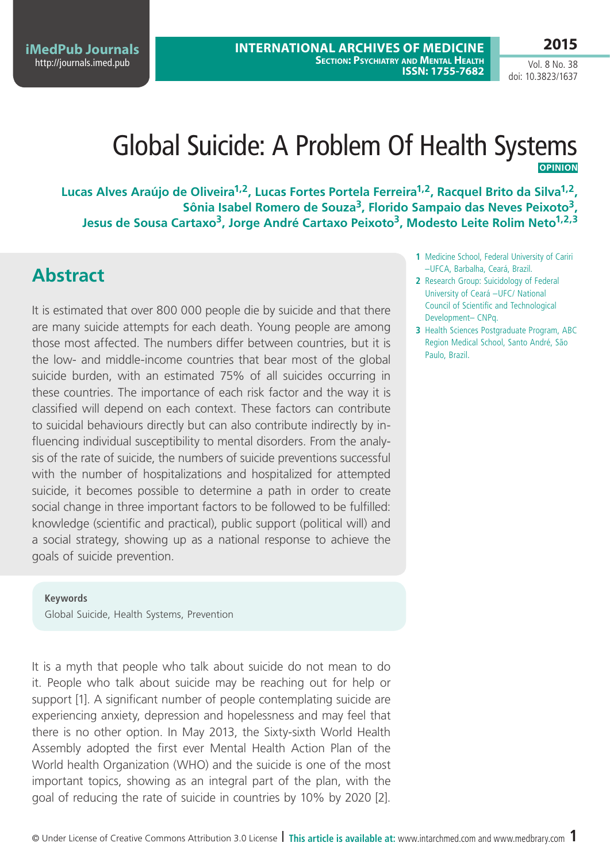**iMedPub Journals** <http://journals.imed.pub>

**2015**

Vol. 8 No. 38 doi: 10.3823/1637

# Global Suicide: A Problem Of Health Systems **Opinion**

Lucas Alves Araújo de Oliveira<sup>1,2</sup>, Lucas Fortes Portela Ferreira<sup>1,2</sup>, Racquel Brito da Silva<sup>1,2</sup>, **Sônia Isabel Romero de Souza3, Florido Sampaio das Neves Peixoto3,** Jesus de Sousa Cartaxo<sup>3</sup>, Jorge André Cartaxo Peixoto<sup>3</sup>, Modesto Leite Rolim Neto<sup>1,2,3</sup>

# **Abstract**

It is estimated that over 800 000 people die by suicide and that there are many suicide attempts for each death. Young people are among those most affected. The numbers differ between countries, but it is the low- and middle-income countries that bear most of the global suicide burden, with an estimated 75% of all suicides occurring in these countries. The importance of each risk factor and the way it is classified will depend on each context. These factors can contribute to suicidal behaviours directly but can also contribute indirectly by influencing individual susceptibility to mental disorders. From the analysis of the rate of suicide, the numbers of suicide preventions successful with the number of hospitalizations and hospitalized for attempted suicide, it becomes possible to determine a path in order to create social change in three important factors to be followed to be fulfilled: knowledge (scientific and practical), public support (political will) and a social strategy, showing up as a national response to achieve the goals of suicide prevention.

**Keywords** Global Suicide, Health Systems, Prevention

It is a myth that people who talk about suicide do not mean to do it. People who talk about suicide may be reaching out for help or support [1]. A significant number of people contemplating suicide are experiencing anxiety, depression and hopelessness and may feel that there is no other option. In May 2013, the Sixty-sixth World Health Assembly adopted the first ever Mental Health Action Plan of the World health Organization (WHO) and the suicide is one of the most important topics, showing as an integral part of the plan, with the goal of reducing the rate of suicide in countries by 10% by 2020 [2].

- **1** Medicine School, Federal University of Cariri –UFCA, Barbalha, Ceará, Brazil.
- **2** Research Group: Suicidology of Federal University of Ceará –UFC/ National Council of Scientific and Technological Development– CNPq.
- **3** Health Sciences Postgraduate Program, ABC Region Medical School, Santo André, São Paulo, Brazil.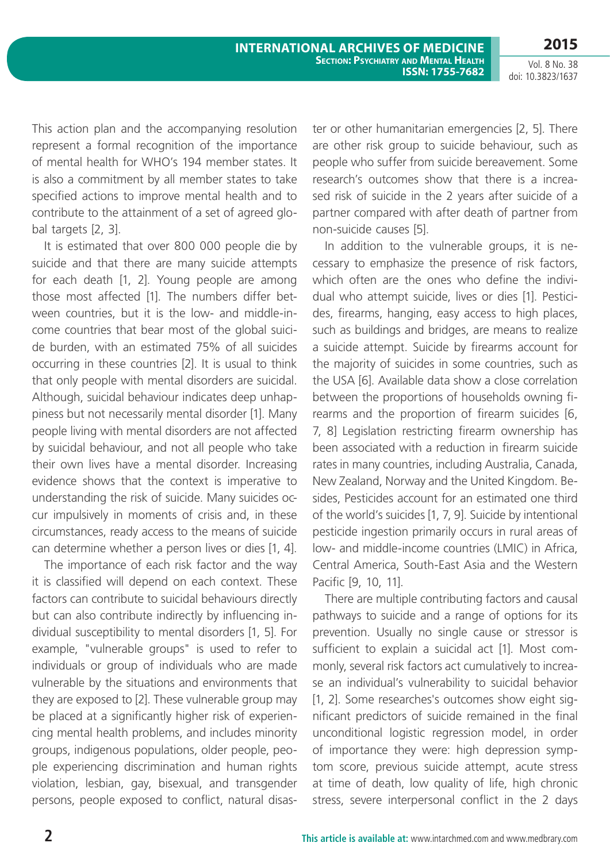**2015**

Vol. 8 No. 38 doi: 10.3823/1637

This action plan and the accompanying resolution represent a formal recognition of the importance of mental health for WHO's 194 member states. It is also a commitment by all member states to take specified actions to improve mental health and to contribute to the attainment of a set of agreed global targets [2, 3].

It is estimated that over 800 000 people die by suicide and that there are many suicide attempts for each death [1, 2]. Young people are among those most affected [1]. The numbers differ between countries, but it is the low- and middle-income countries that bear most of the global suicide burden, with an estimated 75% of all suicides occurring in these countries [2]. It is usual to think that only people with mental disorders are suicidal. Although, suicidal behaviour indicates deep unhappiness but not necessarily mental disorder [1]. Many people living with mental disorders are not affected by suicidal behaviour, and not all people who take their own lives have a mental disorder. Increasing evidence shows that the context is imperative to understanding the risk of suicide. Many suicides occur impulsively in moments of crisis and, in these circumstances, ready access to the means of suicide can determine whether a person lives or dies [1, 4].

The importance of each risk factor and the way it is classified will depend on each context. These factors can contribute to suicidal behaviours directly but can also contribute indirectly by influencing individual susceptibility to mental disorders [1, 5]. For example, "vulnerable groups" is used to refer to individuals or group of individuals who are made vulnerable by the situations and environments that they are exposed to [2]. These vulnerable group may be placed at a significantly higher risk of experiencing mental health problems, and includes minority groups, indigenous populations, older people, people experiencing discrimination and human rights violation, lesbian, gay, bisexual, and transgender persons, people exposed to conflict, natural disaster or other humanitarian emergencies [2, 5]. There are other risk group to suicide behaviour, such as people who suffer from suicide bereavement. Some research's outcomes show that there is a increased risk of suicide in the 2 years after suicide of a partner compared with after death of partner from non-suicide causes [5].

In addition to the vulnerable groups, it is necessary to emphasize the presence of risk factors, which often are the ones who define the individual who attempt suicide, lives or dies [1]. Pesticides, firearms, hanging, easy access to high places, such as buildings and bridges, are means to realize a suicide attempt. Suicide by firearms account for the majority of suicides in some countries, such as the USA [6]. Available data show a close correlation between the proportions of households owning firearms and the proportion of firearm suicides [6, 7, 8] Legislation restricting firearm ownership has been associated with a reduction in firearm suicide rates in many countries, including Australia, Canada, New Zealand, Norway and the United Kingdom. Besides, Pesticides account for an estimated one third of the world's suicides [1, 7, 9]. Suicide by intentional pesticide ingestion primarily occurs in rural areas of low- and middle-income countries (LMIC) in Africa, Central America, South-East Asia and the Western Pacific [9, 10, 11].

There are multiple contributing factors and causal pathways to suicide and a range of options for its prevention. Usually no single cause or stressor is sufficient to explain a suicidal act [1]. Most commonly, several risk factors act cumulatively to increase an individual's vulnerability to suicidal behavior [1, 2]. Some researches's outcomes show eight significant predictors of suicide remained in the final unconditional logistic regression model, in order of importance they were: high depression symptom score, previous suicide attempt, acute stress at time of death, low quality of life, high chronic stress, severe interpersonal conflict in the 2 days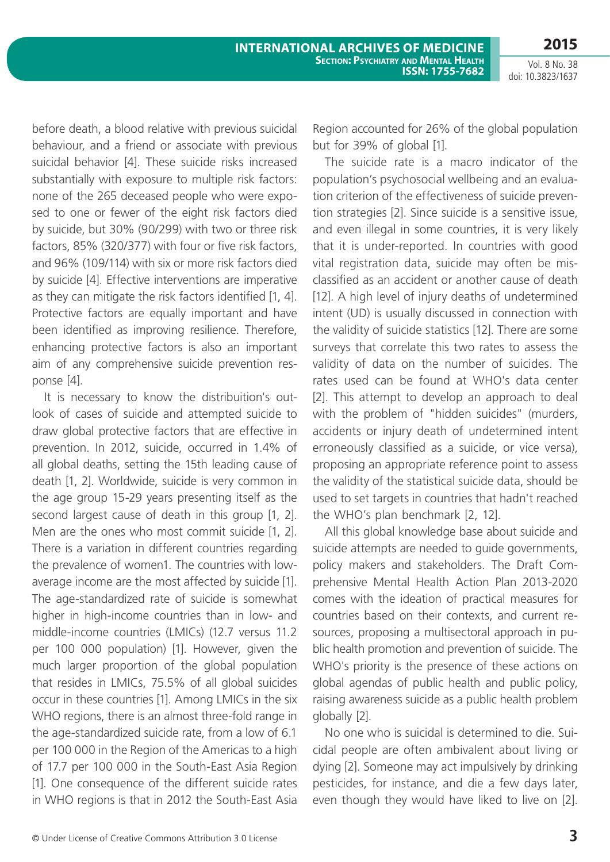Vol. 8 No. 38 doi: 10.3823/1637

before death, a blood relative with previous suicidal behaviour, and a friend or associate with previous suicidal behavior [4]. These suicide risks increased substantially with exposure to multiple risk factors: none of the 265 deceased people who were exposed to one or fewer of the eight risk factors died by suicide, but 30% (90/299) with two or three risk factors, 85% (320/377) with four or five risk factors, and 96% (109/114) with six or more risk factors died by suicide [4]. Effective interventions are imperative as they can mitigate the risk factors identified [1, 4]. Protective factors are equally important and have been identified as improving resilience. Therefore, enhancing protective factors is also an important aim of any comprehensive suicide prevention response [4].

It is necessary to know the distribuition's outlook of cases of suicide and attempted suicide to draw global protective factors that are effective in prevention. In 2012, suicide, occurred in 1.4% of all global deaths, setting the 15th leading cause of death [1, 2]. Worldwide, suicide is very common in the age group 15-29 years presenting itself as the second largest cause of death in this group [1, 2]. Men are the ones who most commit suicide [1, 2]. There is a variation in different countries regarding the prevalence of women1. The countries with lowaverage income are the most affected by suicide [1]. The age-standardized rate of suicide is somewhat higher in high-income countries than in low- and middle-income countries (LMICs) (12.7 versus 11.2 per 100 000 population) [1]. However, given the much larger proportion of the global population that resides in LMICs, 75.5% of all global suicides occur in these countries [1]. Among LMICs in the six WHO regions, there is an almost three-fold range in the age-standardized suicide rate, from a low of 6.1 per 100 000 in the Region of the Americas to a high of 17.7 per 100 000 in the South-East Asia Region [1]. One consequence of the different suicide rates in WHO regions is that in 2012 the South-East Asia Region accounted for 26% of the global population but for 39% of global [1].

The suicide rate is a macro indicator of the population's psychosocial wellbeing and an evaluation criterion of the effectiveness of suicide prevention strategies [2]. Since suicide is a sensitive issue, and even illegal in some countries, it is very likely that it is under-reported. In countries with good vital registration data, suicide may often be misclassified as an accident or another cause of death [12]. A high level of injury deaths of undetermined intent (UD) is usually discussed in connection with the validity of suicide statistics [12]. There are some surveys that correlate this two rates to assess the validity of data on the number of suicides. The rates used can be found at WHO's data center [2]. This attempt to develop an approach to deal with the problem of "hidden suicides" (murders, accidents or injury death of undetermined intent erroneously classified as a suicide, or vice versa), proposing an appropriate reference point to assess the validity of the statistical suicide data, should be used to set targets in countries that hadn't reached the WHO's plan benchmark [2, 12].

All this global knowledge base about suicide and suicide attempts are needed to guide governments, policy makers and stakeholders. The Draft Comprehensive Mental Health Action Plan 2013-2020 comes with the ideation of practical measures for countries based on their contexts, and current resources, proposing a multisectoral approach in public health promotion and prevention of suicide. The WHO's priority is the presence of these actions on global agendas of public health and public policy, raising awareness suicide as a public health problem globally [2].

No one who is suicidal is determined to die. Suicidal people are often ambivalent about living or dying [2]. Someone may act impulsively by drinking pesticides, for instance, and die a few days later, even though they would have liked to live on [2].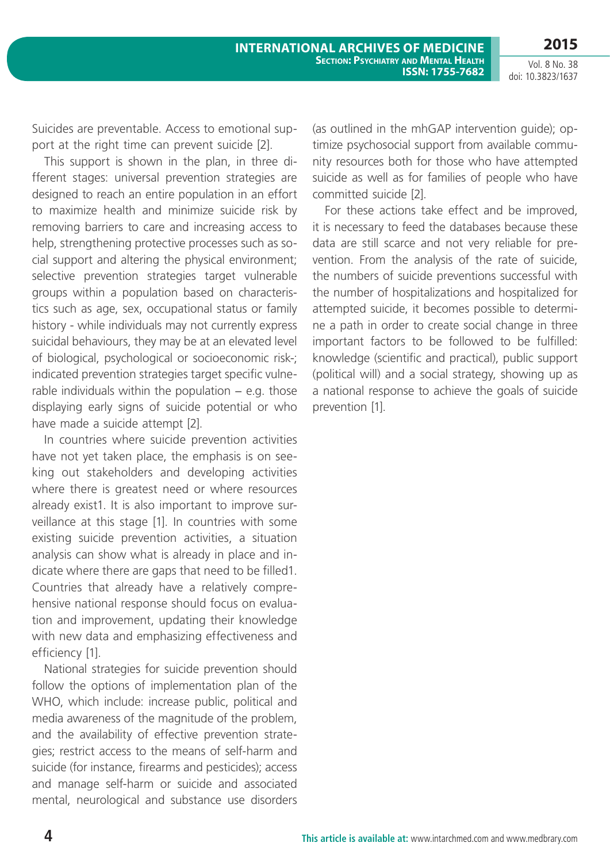**2015**

Vol. 8 No. 38 doi: 10.3823/1637

Suicides are preventable. Access to emotional support at the right time can prevent suicide [2].

This support is shown in the plan, in three different stages: universal prevention strategies are designed to reach an entire population in an effort to maximize health and minimize suicide risk by removing barriers to care and increasing access to help, strengthening protective processes such as social support and altering the physical environment; selective prevention strategies target vulnerable groups within a population based on characteristics such as age, sex, occupational status or family history - while individuals may not currently express suicidal behaviours, they may be at an elevated level of biological, psychological or socioeconomic risk-; indicated prevention strategies target specific vulnerable individuals within the population  $-$  e.g. those displaying early signs of suicide potential or who have made a suicide attempt [2].

In countries where suicide prevention activities have not yet taken place, the emphasis is on seeking out stakeholders and developing activities where there is greatest need or where resources already exist1. It is also important to improve surveillance at this stage [1]. In countries with some existing suicide prevention activities, a situation analysis can show what is already in place and indicate where there are gaps that need to be filled1. Countries that already have a relatively comprehensive national response should focus on evaluation and improvement, updating their knowledge with new data and emphasizing effectiveness and efficiency [1].

National strategies for suicide prevention should follow the options of implementation plan of the WHO, which include: increase public, political and media awareness of the magnitude of the problem, and the availability of effective prevention strategies; restrict access to the means of self-harm and suicide (for instance, firearms and pesticides); access and manage self-harm or suicide and associated mental, neurological and substance use disorders

(as outlined in the mhGAP intervention guide); optimize psychosocial support from available community resources both for those who have attempted suicide as well as for families of people who have committed suicide [2].

For these actions take effect and be improved, it is necessary to feed the databases because these data are still scarce and not very reliable for prevention. From the analysis of the rate of suicide, the numbers of suicide preventions successful with the number of hospitalizations and hospitalized for attempted suicide, it becomes possible to determine a path in order to create social change in three important factors to be followed to be fulfilled: knowledge (scientific and practical), public support (political will) and a social strategy, showing up as a national response to achieve the goals of suicide prevention [1].